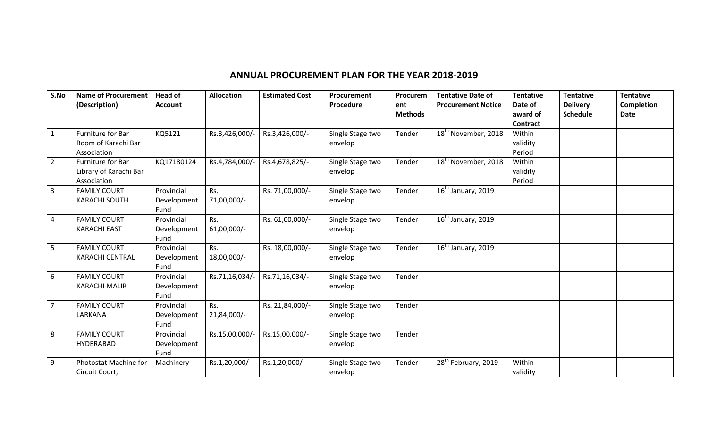## **ANNUAL PROCUREMENT PLAN FOR THE YEAR 2018-2019**

| S.No           | <b>Name of Procurement</b><br>(Description)                | <b>Head of</b><br><b>Account</b>  | <b>Allocation</b>    | <b>Estimated Cost</b> | Procurement<br>Procedure    | Procurem<br>ent<br><b>Methods</b> | <b>Tentative Date of</b><br><b>Procurement Notice</b> | <b>Tentative</b><br>Date of<br>award of<br><b>Contract</b> | <b>Tentative</b><br><b>Delivery</b><br><b>Schedule</b> | <b>Tentative</b><br><b>Completion</b><br>Date |
|----------------|------------------------------------------------------------|-----------------------------------|----------------------|-----------------------|-----------------------------|-----------------------------------|-------------------------------------------------------|------------------------------------------------------------|--------------------------------------------------------|-----------------------------------------------|
| $\mathbf{1}$   | Furniture for Bar<br>Room of Karachi Bar<br>Association    | KQ5121                            | Rs.3,426,000/-       | Rs.3,426,000/-        | Single Stage two<br>envelop | Tender                            | 18 <sup>th</sup> November, 2018                       | Within<br>validity<br>Period                               |                                                        |                                               |
| $\overline{2}$ | Furniture for Bar<br>Library of Karachi Bar<br>Association | KQ17180124                        | Rs.4,784,000/-       | Rs.4,678,825/-        | Single Stage two<br>envelop | Tender                            | 18 <sup>th</sup> November, 2018                       | Within<br>validity<br>Period                               |                                                        |                                               |
| $\overline{3}$ | <b>FAMILY COURT</b><br><b>KARACHI SOUTH</b>                | Provincial<br>Development<br>Fund | Rs.<br>71,00,000/-   | Rs. 71,00,000/-       | Single Stage two<br>envelop | Tender                            | $\overline{16}^{\text{th}}$ January, 2019             |                                                            |                                                        |                                               |
| $\overline{4}$ | <b>FAMILY COURT</b><br><b>KARACHI EAST</b>                 | Provincial<br>Development<br>Fund | Rs.<br>$61,00,000/-$ | Rs. 61,00,000/-       | Single Stage two<br>envelop | Tender                            | $16th$ January, 2019                                  |                                                            |                                                        |                                               |
| 5              | <b>FAMILY COURT</b><br><b>KARACHI CENTRAL</b>              | Provincial<br>Development<br>Fund | Rs.<br>18,00,000/-   | Rs. 18,00,000/-       | Single Stage two<br>envelop | Tender                            | $16th$ January, 2019                                  |                                                            |                                                        |                                               |
| 6              | <b>FAMILY COURT</b><br><b>KARACHI MALIR</b>                | Provincial<br>Development<br>Fund | Rs.71,16,034/-       | Rs.71,16,034/-        | Single Stage two<br>envelop | Tender                            |                                                       |                                                            |                                                        |                                               |
| $\overline{7}$ | <b>FAMILY COURT</b><br>LARKANA                             | Provincial<br>Development<br>Fund | Rs.<br>21,84,000/-   | Rs. 21,84,000/-       | Single Stage two<br>envelop | Tender                            |                                                       |                                                            |                                                        |                                               |
| 8              | <b>FAMILY COURT</b><br>HYDERABAD                           | Provincial<br>Development<br>Fund | Rs.15,00,000/-       | Rs.15,00,000/-        | Single Stage two<br>envelop | Tender                            |                                                       |                                                            |                                                        |                                               |
| 9              | Photostat Machine for<br>Circuit Court,                    | Machinery                         | Rs.1,20,000/-        | Rs.1,20,000/-         | Single Stage two<br>envelop | Tender                            | 28 <sup>th</sup> February, 2019                       | Within<br>validity                                         |                                                        |                                               |